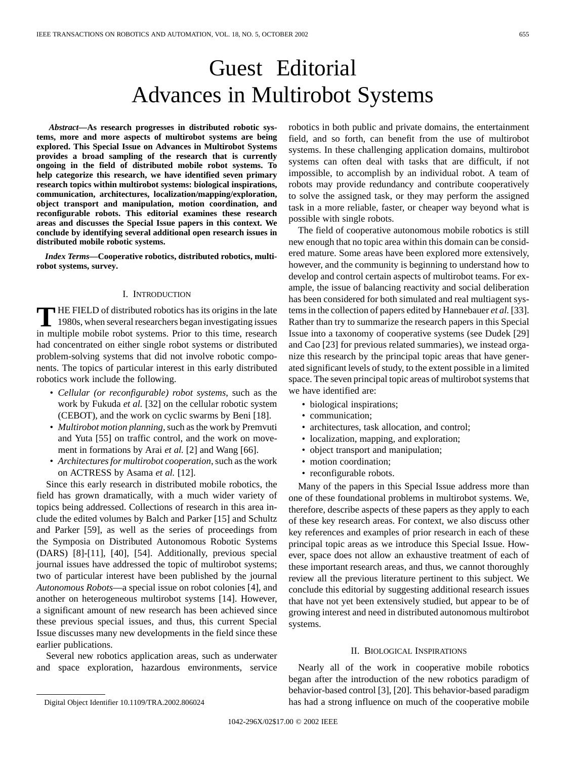# Guest Editorial Advances in Multirobot Systems

*Abstract—***As research progresses in distributed robotic systems, more and more aspects of multirobot systems are being explored. This Special Issue on Advances in Multirobot Systems provides a broad sampling of the research that is currently ongoing in the field of distributed mobile robot systems. To help categorize this research, we have identified seven primary research topics within multirobot systems: biological inspirations, communication, architectures, localization/mapping/exploration, object transport and manipulation, motion coordination, and reconfigurable robots. This editorial examines these research areas and discusses the Special Issue papers in this context. We conclude by identifying several additional open research issues in distributed mobile robotic systems.**

*Index Terms—***Cooperative robotics, distributed robotics, multirobot systems, survey.**

### I. INTRODUCTION

**T** HE FIELD of distributed robotics has its origins in the late 1980s, when several researchers began investigating issues in multiple mobile robot systems. Prior to this time, research had concentrated on either single robot systems or distributed problem-solving systems that did not involve robotic components. The topics of particular interest in this early distributed robotics work include the following.

- *Cellular (or reconfigurable) robot systems*, such as the work by Fukuda *et al.* [32] on the cellular robotic system (CEBOT), and the work on cyclic swarms by Beni [18].
- *Multirobot motion planning*, such as the work by Premvuti and Yuta [55] on traffic control, and the work on movement in formations by Arai *et al.* [2] and Wang [66].
- *Architectures for multirobot cooperation*, such as the work on ACTRESS by Asama *et al.* [12].

Since this early research in distributed mobile robotics, the field has grown dramatically, with a much wider variety of topics being addressed. Collections of research in this area include the edited volumes by Balch and Parker [15] and Schultz and Parker [59], as well as the series of proceedings from the Symposia on Distributed Autonomous Robotic Systems (DARS) [8]-[11], [40], [54]. Additionally, previous special journal issues have addressed the topic of multirobot systems; two of particular interest have been published by the journal *Autonomous Robots*—a special issue on robot colonies [4], and another on heterogeneous multirobot systems [14]. However, a significant amount of new research has been achieved since these previous special issues, and thus, this current Special Issue discusses many new developments in the field since these earlier publications.

Several new robotics application areas, such as underwater and space exploration, hazardous environments, service

The field of cooperative autonomous mobile robotics is still new enough that no topic area within this domain can be considered mature. Some areas have been explored more extensively, however, and the community is beginning to understand how to develop and control certain aspects of multirobot teams. For example, the issue of balancing reactivity and social deliberation has been considered for both simulated and real multiagent systems in the collection of papers edited by Hannebauer *et al.* [33]. Rather than try to summarize the research papers in this Special Issue into a taxonomy of cooperative systems (see Dudek [29] and Cao [23] for previous related summaries), we instead organize this research by the principal topic areas that have generated significant levels of study, to the extent possible in a limited space. The seven principal topic areas of multirobot systems that we have identified are:

- biological inspirations;
- communication;
- architectures, task allocation, and control;
- localization, mapping, and exploration;
- object transport and manipulation;
- motion coordination;
- reconfigurable robots.

Many of the papers in this Special Issue address more than one of these foundational problems in multirobot systems. We, therefore, describe aspects of these papers as they apply to each of these key research areas. For context, we also discuss other key references and examples of prior research in each of these principal topic areas as we introduce this Special Issue. However, space does not allow an exhaustive treatment of each of these important research areas, and thus, we cannot thoroughly review all the previous literature pertinent to this subject. We conclude this editorial by suggesting additional research issues that have not yet been extensively studied, but appear to be of growing interest and need in distributed autonomous multirobot systems.

#### II. BIOLOGICAL INSPIRATIONS

Nearly all of the work in cooperative mobile robotics began after the introduction of the new robotics paradigm of behavior-based control [3], [20]. This behavior-based paradigm has had a strong influence on much of the cooperative mobile

robotics in both public and private domains, the entertainment field, and so forth, can benefit from the use of multirobot systems. In these challenging application domains, multirobot systems can often deal with tasks that are difficult, if not impossible, to accomplish by an individual robot. A team of robots may provide redundancy and contribute cooperatively to solve the assigned task, or they may perform the assigned task in a more reliable, faster, or cheaper way beyond what is possible with single robots.

Digital Object Identifier 10.1109/TRA.2002.806024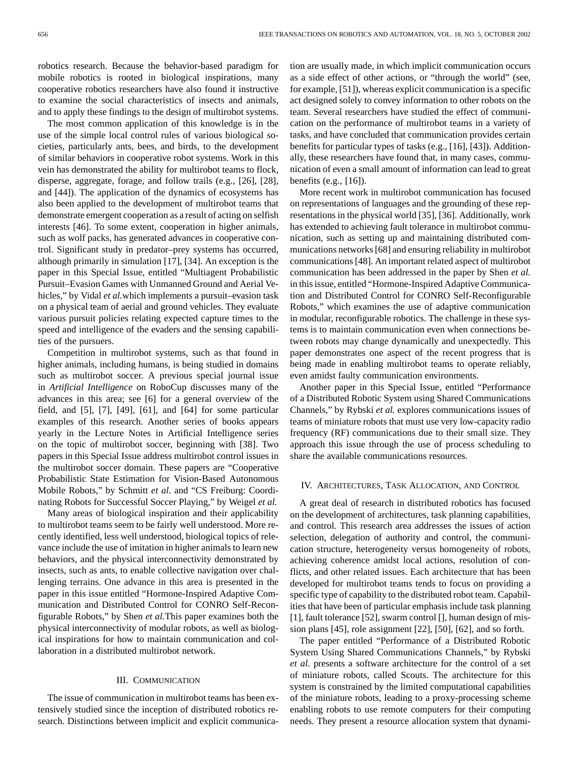robotics research. Because the behavior-based paradigm for mobile robotics is rooted in biological inspirations, many cooperative robotics researchers have also found it instructive to examine the social characteristics of insects and animals, and to apply these findings to the design of multirobot systems.

The most common application of this knowledge is in the use of the simple local control rules of various biological societies, particularly ants, bees, and birds, to the development of similar behaviors in cooperative robot systems. Work in this vein has demonstrated the ability for multirobot teams to flock, disperse, aggregate, forage, and follow trails (e.g., [26], [28], and [44]). The application of the dynamics of ecosystems has also been applied to the development of multirobot teams that demonstrate emergent cooperation as a result of acting on selfish interests [46]. To some extent, cooperation in higher animals, such as wolf packs, has generated advances in cooperative control. Significant study in predator–prey systems has occurred, although primarily in simulation [17], [34]. An exception is the paper in this Special Issue, entitled "Multiagent Probabilistic Pursuit–Evasion Games with Unmanned Ground and Aerial Vehicles," by Vidal *et al.*which implements a pursuit–evasion task on a physical team of aerial and ground vehicles. They evaluate various pursuit policies relating expected capture times to the speed and intelligence of the evaders and the sensing capabilities of the pursuers.

Competition in multirobot systems, such as that found in higher animals, including humans, is being studied in domains such as multirobot soccer. A previous special journal issue in *Artificial Intelligence* on RoboCup discusses many of the advances in this area; see [6] for a general overview of the field, and [5], [7], [49], [61], and [64] for some particular examples of this research. Another series of books appears yearly in the Lecture Notes in Artificial Intelligence series on the topic of multirobot soccer, beginning with [38]. Two papers in this Special Issue address multirobot control issues in the multirobot soccer domain. These papers are "Cooperative Probabilistic State Estimation for Vision-Based Autonomous Mobile Robots," by Schmitt *et al.* and "CS Freiburg: Coordinating Robots for Successful Soccer Playing," by Weigel *et al.*

Many areas of biological inspiration and their applicability to multirobot teams seem to be fairly well understood. More recently identified, less well understood, biological topics of relevance include the use of imitation in higher animals to learn new behaviors, and the physical interconnectivity demonstrated by insects, such as ants, to enable collective navigation over challenging terrains. One advance in this area is presented in the paper in this issue entitled "Hormone-Inspired Adaptive Communication and Distributed Control for CONRO Self-Reconfigurable Robots," by Shen *et al.*This paper examines both the physical interconnectivity of modular robots, as well as biological inspirations for how to maintain communication and collaboration in a distributed multirobot network.

# III. COMMUNICATION

The issue of communication in multirobot teams has been extensively studied since the inception of distributed robotics research. Distinctions between implicit and explicit communication are usually made, in which implicit communication occurs as a side effect of other actions, or "through the world" (see, for example, [51]), whereas explicit communication is a specific act designed solely to convey information to other robots on the team. Several researchers have studied the effect of communication on the performance of multirobot teams in a variety of tasks, and have concluded that communication provides certain benefits for particular types of tasks (e.g., [16], [43]). Additionally, these researchers have found that, in many cases, communication of even a small amount of information can lead to great benefits (e.g., [16]).

More recent work in multirobot communication has focused on representations of languages and the grounding of these representations in the physical world [35], [36]. Additionally, work has extended to achieving fault tolerance in multirobot communication, such as setting up and maintaining distributed communications networks [68] and ensuring reliability in multirobot communications [48]. An important related aspect of multirobot communication has been addressed in the paper by Shen *et al.* in this issue, entitled "Hormone-Inspired Adaptive Communication and Distributed Control for CONRO Self-Reconfigurable Robots," which examines the use of adaptive communication in modular, reconfigurable robotics. The challenge in these systems is to maintain communication even when connections between robots may change dynamically and unexpectedly. This paper demonstrates one aspect of the recent progress that is being made in enabling multirobot teams to operate reliably, even amidst faulty communication environments.

Another paper in this Special Issue, entitled "Performance of a Distributed Robotic System using Shared Communications Channels," by Rybski *et al.* explores communications issues of teams of miniature robots that must use very low-capacity radio frequency (RF) communications due to their small size. They approach this issue through the use of process scheduling to share the available communications resources.

# IV. ARCHITECTURES, TASK ALLOCATION, AND CONTROL

A great deal of research in distributed robotics has focused on the development of architectures, task planning capabilities, and control. This research area addresses the issues of action selection, delegation of authority and control, the communication structure, heterogeneity versus homogeneity of robots, achieving coherence amidst local actions, resolution of conflicts, and other related issues. Each architecture that has been developed for multirobot teams tends to focus on providing a specific type of capability to the distributed robot team. Capabilities that have been of particular emphasis include task planning [1], fault tolerance [52], swarm control [], human design of mission plans [45], role assignment [22], [50], [62], and so forth.

The paper entitled "Performance of a Distributed Robotic System Using Shared Communications Channels," by Rybski *et al.* presents a software architecture for the control of a set of miniature robots, called Scouts. The architecture for this system is constrained by the limited computational capabilities of the miniature robots, leading to a proxy-processing scheme enabling robots to use remote computers for their computing needs. They present a resource allocation system that dynami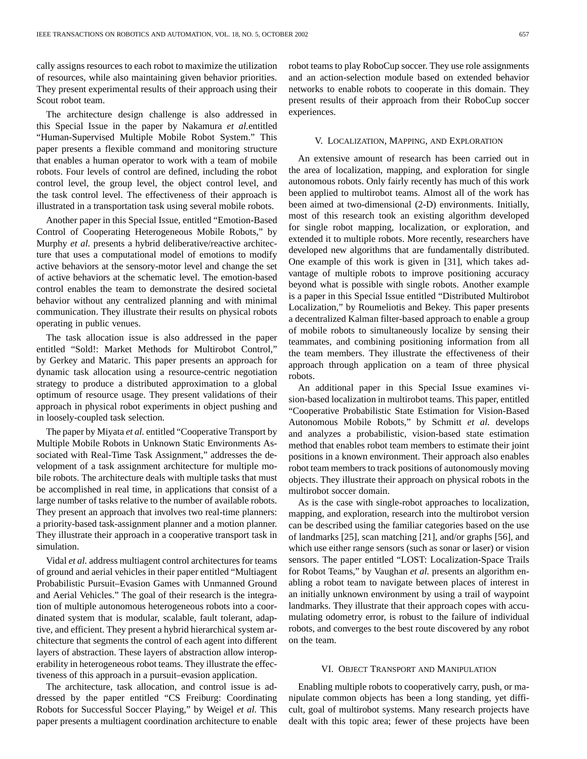cally assigns resources to each robot to maximize the utilization of resources, while also maintaining given behavior priorities. They present experimental results of their approach using their Scout robot team.

The architecture design challenge is also addressed in this Special Issue in the paper by Nakamura *et al.*entitled "Human-Supervised Multiple Mobile Robot System." This paper presents a flexible command and monitoring structure that enables a human operator to work with a team of mobile robots. Four levels of control are defined, including the robot control level, the group level, the object control level, and the task control level. The effectiveness of their approach is illustrated in a transportation task using several mobile robots.

Another paper in this Special Issue, entitled "Emotion-Based Control of Cooperating Heterogeneous Mobile Robots," by Murphy *et al.* presents a hybrid deliberative/reactive architecture that uses a computational model of emotions to modify active behaviors at the sensory-motor level and change the set of active behaviors at the schematic level. The emotion-based control enables the team to demonstrate the desired societal behavior without any centralized planning and with minimal communication. They illustrate their results on physical robots operating in public venues.

The task allocation issue is also addressed in the paper entitled "Sold!: Market Methods for Multirobot Control," by Gerkey and Mataric. This paper presents an approach for dynamic task allocation using a resource-centric negotiation strategy to produce a distributed approximation to a global optimum of resource usage. They present validations of their approach in physical robot experiments in object pushing and in loosely-coupled task selection.

The paper by Miyata *et al.* entitled "Cooperative Transport by Multiple Mobile Robots in Unknown Static Environments Associated with Real-Time Task Assignment," addresses the development of a task assignment architecture for multiple mobile robots. The architecture deals with multiple tasks that must be accomplished in real time, in applications that consist of a large number of tasks relative to the number of available robots. They present an approach that involves two real-time planners: a priority-based task-assignment planner and a motion planner. They illustrate their approach in a cooperative transport task in simulation.

Vidal *et al.* address multiagent control architectures for teams of ground and aerial vehicles in their paper entitled "Multiagent Probabilistic Pursuit–Evasion Games with Unmanned Ground and Aerial Vehicles." The goal of their research is the integration of multiple autonomous heterogeneous robots into a coordinated system that is modular, scalable, fault tolerant, adaptive, and efficient. They present a hybrid hierarchical system architecture that segments the control of each agent into different layers of abstraction. These layers of abstraction allow interoperability in heterogeneous robot teams. They illustrate the effectiveness of this approach in a pursuit–evasion application.

The architecture, task allocation, and control issue is addressed by the paper entitled "CS Freiburg: Coordinating Robots for Successful Soccer Playing," by Weigel *et al.* This paper presents a multiagent coordination architecture to enable robot teams to play RoboCup soccer. They use role assignments and an action-selection module based on extended behavior networks to enable robots to cooperate in this domain. They present results of their approach from their RoboCup soccer experiences.

## V. LOCALIZATION, MAPPING, AND EXPLORATION

An extensive amount of research has been carried out in the area of localization, mapping, and exploration for single autonomous robots. Only fairly recently has much of this work been applied to multirobot teams. Almost all of the work has been aimed at two-dimensional (2-D) environments. Initially, most of this research took an existing algorithm developed for single robot mapping, localization, or exploration, and extended it to multiple robots. More recently, researchers have developed new algorithms that are fundamentally distributed. One example of this work is given in [31], which takes advantage of multiple robots to improve positioning accuracy beyond what is possible with single robots. Another example is a paper in this Special Issue entitled "Distributed Multirobot Localization," by Roumeliotis and Bekey. This paper presents a decentralized Kalman filter-based approach to enable a group of mobile robots to simultaneously localize by sensing their teammates, and combining positioning information from all the team members. They illustrate the effectiveness of their approach through application on a team of three physical robots.

An additional paper in this Special Issue examines vision-based localization in multirobot teams. This paper, entitled "Cooperative Probabilistic State Estimation for Vision-Based Autonomous Mobile Robots," by Schmitt *et al.* develops and analyzes a probabilistic, vision-based state estimation method that enables robot team members to estimate their joint positions in a known environment. Their approach also enables robot team members to track positions of autonomously moving objects. They illustrate their approach on physical robots in the multirobot soccer domain.

As is the case with single-robot approaches to localization, mapping, and exploration, research into the multirobot version can be described using the familiar categories based on the use of landmarks [25], scan matching [21], and/or graphs [56], and which use either range sensors (such as sonar or laser) or vision sensors. The paper entitled "LOST: Localization-Space Trails for Robot Teams," by Vaughan *et al.* presents an algorithm enabling a robot team to navigate between places of interest in an initially unknown environment by using a trail of waypoint landmarks. They illustrate that their approach copes with accumulating odometry error, is robust to the failure of individual robots, and converges to the best route discovered by any robot on the team.

## VI. OBJECT TRANSPORT AND MANIPULATION

Enabling multiple robots to cooperatively carry, push, or manipulate common objects has been a long standing, yet difficult, goal of multirobot systems. Many research projects have dealt with this topic area; fewer of these projects have been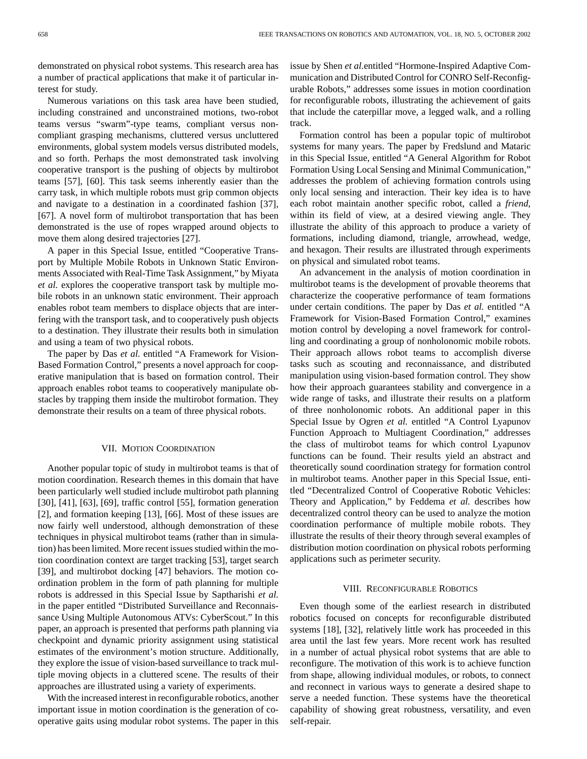demonstrated on physical robot systems. This research area has a number of practical applications that make it of particular interest for study.

Numerous variations on this task area have been studied, including constrained and unconstrained motions, two-robot teams versus "swarm"-type teams, compliant versus noncompliant grasping mechanisms, cluttered versus uncluttered environments, global system models versus distributed models, and so forth. Perhaps the most demonstrated task involving cooperative transport is the pushing of objects by multirobot teams [57], [60]. This task seems inherently easier than the carry task, in which multiple robots must grip common objects and navigate to a destination in a coordinated fashion [37], [67]. A novel form of multirobot transportation that has been demonstrated is the use of ropes wrapped around objects to move them along desired trajectories [27].

A paper in this Special Issue, entitled "Cooperative Transport by Multiple Mobile Robots in Unknown Static Environments Associated with Real-Time Task Assignment," by Miyata *et al.* explores the cooperative transport task by multiple mobile robots in an unknown static environment. Their approach enables robot team members to displace objects that are interfering with the transport task, and to cooperatively push objects to a destination. They illustrate their results both in simulation and using a team of two physical robots.

The paper by Das *et al.* entitled "A Framework for Vision-Based Formation Control," presents a novel approach for cooperative manipulation that is based on formation control. Their approach enables robot teams to cooperatively manipulate obstacles by trapping them inside the multirobot formation. They demonstrate their results on a team of three physical robots.

## VII. MOTION COORDINATION

Another popular topic of study in multirobot teams is that of motion coordination. Research themes in this domain that have been particularly well studied include multirobot path planning [30], [41], [63], [69], traffic control [55], formation generation [2], and formation keeping [13], [66]. Most of these issues are now fairly well understood, although demonstration of these techniques in physical multirobot teams (rather than in simulation) has been limited. More recent issues studied within the motion coordination context are target tracking [53], target search [39], and multirobot docking [47] behaviors. The motion coordination problem in the form of path planning for multiple robots is addressed in this Special Issue by Saptharishi *et al.* in the paper entitled "Distributed Surveillance and Reconnaissance Using Multiple Autonomous ATVs: CyberScout." In this paper, an approach is presented that performs path planning via checkpoint and dynamic priority assignment using statistical estimates of the environment's motion structure. Additionally, they explore the issue of vision-based surveillance to track multiple moving objects in a cluttered scene. The results of their approaches are illustrated using a variety of experiments.

With the increased interest in reconfigurable robotics, another important issue in motion coordination is the generation of cooperative gaits using modular robot systems. The paper in this issue by Shen *et al.*entitled "Hormone-Inspired Adaptive Communication and Distributed Control for CONRO Self-Reconfigurable Robots," addresses some issues in motion coordination for reconfigurable robots, illustrating the achievement of gaits that include the caterpillar move, a legged walk, and a rolling track.

Formation control has been a popular topic of multirobot systems for many years. The paper by Fredslund and Mataric in this Special Issue, entitled "A General Algorithm for Robot Formation Using Local Sensing and Minimal Communication," addresses the problem of achieving formation controls using only local sensing and interaction. Their key idea is to have each robot maintain another specific robot, called a *friend*, within its field of view, at a desired viewing angle. They illustrate the ability of this approach to produce a variety of formations, including diamond, triangle, arrowhead, wedge, and hexagon. Their results are illustrated through experiments on physical and simulated robot teams.

An advancement in the analysis of motion coordination in multirobot teams is the development of provable theorems that characterize the cooperative performance of team formations under certain conditions. The paper by Das *et al.* entitled "A Framework for Vision-Based Formation Control," examines motion control by developing a novel framework for controlling and coordinating a group of nonholonomic mobile robots. Their approach allows robot teams to accomplish diverse tasks such as scouting and reconnaissance, and distributed manipulation using vision-based formation control. They show how their approach guarantees stability and convergence in a wide range of tasks, and illustrate their results on a platform of three nonholonomic robots. An additional paper in this Special Issue by Ogren *et al.* entitled "A Control Lyapunov Function Approach to Multiagent Coordination," addresses the class of multirobot teams for which control Lyapunov functions can be found. Their results yield an abstract and theoretically sound coordination strategy for formation control in multirobot teams. Another paper in this Special Issue, entitled "Decentralized Control of Cooperative Robotic Vehicles: Theory and Application," by Feddema *et al.* describes how decentralized control theory can be used to analyze the motion coordination performance of multiple mobile robots. They illustrate the results of their theory through several examples of distribution motion coordination on physical robots performing applications such as perimeter security.

#### VIII. RECONFIGURABLE ROBOTICS

Even though some of the earliest research in distributed robotics focused on concepts for reconfigurable distributed systems [18], [32], relatively little work has proceeded in this area until the last few years. More recent work has resulted in a number of actual physical robot systems that are able to reconfigure. The motivation of this work is to achieve function from shape, allowing individual modules, or robots, to connect and reconnect in various ways to generate a desired shape to serve a needed function. These systems have the theoretical capability of showing great robustness, versatility, and even self-repair.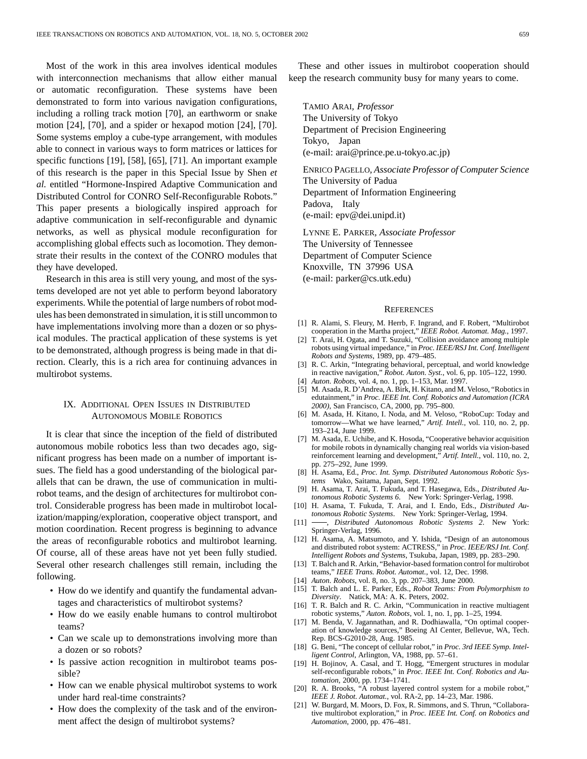Most of the work in this area involves identical modules with interconnection mechanisms that allow either manual or automatic reconfiguration. These systems have been demonstrated to form into various navigation configurations, including a rolling track motion [70], an earthworm or snake motion [24], [70], and a spider or hexapod motion [24], [70]. Some systems employ a cube-type arrangement, with modules able to connect in various ways to form matrices or lattices for specific functions [19], [58], [65], [71]. An important example of this research is the paper in this Special Issue by Shen *et al.* entitled "Hormone-Inspired Adaptive Communication and Distributed Control for CONRO Self-Reconfigurable Robots." This paper presents a biologically inspired approach for adaptive communication in self-reconfigurable and dynamic networks, as well as physical module reconfiguration for accomplishing global effects such as locomotion. They demonstrate their results in the context of the CONRO modules that they have developed.

Research in this area is still very young, and most of the systems developed are not yet able to perform beyond laboratory experiments. While the potential of large numbers of robot modules has been demonstrated in simulation, it is still uncommon to have implementations involving more than a dozen or so physical modules. The practical application of these systems is yet to be demonstrated, although progress is being made in that direction. Clearly, this is a rich area for continuing advances in multirobot systems.

# IX. ADDITIONAL OPEN ISSUES IN DISTRIBUTED AUTONOMOUS MOBILE ROBOTICS

It is clear that since the inception of the field of distributed autonomous mobile robotics less than two decades ago, significant progress has been made on a number of important issues. The field has a good understanding of the biological parallels that can be drawn, the use of communication in multirobot teams, and the design of architectures for multirobot control. Considerable progress has been made in multirobot localization/mapping/exploration, cooperative object transport, and motion coordination. Recent progress is beginning to advance the areas of reconfigurable robotics and multirobot learning. Of course, all of these areas have not yet been fully studied. Several other research challenges still remain, including the following.

- How do we identify and quantify the fundamental advantages and characteristics of multirobot systems?
- How do we easily enable humans to control multirobot teams?
- Can we scale up to demonstrations involving more than a dozen or so robots?
- Is passive action recognition in multirobot teams possible?
- How can we enable physical multirobot systems to work under hard real-time constraints?
- How does the complexity of the task and of the environment affect the design of multirobot systems?

These and other issues in multirobot cooperation should keep the research community busy for many years to come.

TAMIO ARAI*, Professor* The University of Tokyo Department of Precision Engineering Tokyo, Japan (e-mail: arai@prince.pe.u-tokyo.ac.jp)

ENRICO PAGELLO*, Associate Professor of Computer Science* The University of Padua Department of Information Engineering Padova, Italy (e-mail: epv@dei.unipd.it)

LYNNE E. PARKER*, Associate Professor* The University of Tennessee Department of Computer Science Knoxville, TN 37996 USA (e-mail: parker@cs.utk.edu)

#### **REFERENCES**

- [1] R. Alami, S. Fleury, M. Herrb, F. Ingrand, and F. Robert, "Multirobot cooperation in the Martha project," *IEEE Robot. Automat. Mag.*, 1997.
- [2] T. Arai, H. Ogata, and T. Suzuki, "Collision avoidance among multiple robots using virtual impedance," in *Proc. IEEE/RSJ Int. Conf. Intelligent Robots and Systems*, 1989, pp. 479–485.
- [3] R. C. Arkin, "Integrating behavioral, perceptual, and world knowledge in reactive navigation," *Robot. Auton. Syst.*, vol. 6, pp. 105–122, 1990.
- [4] *Auton. Robots*, vol. 4, no. 1, pp. 1–153, Mar. 1997.
- [5] M. Asada, R. D'Andrea, A. Birk, H. Kitano, and M. Veloso, "Robotics in edutainment," in *Proc. IEEE Int. Conf. Robotics and Automation (ICRA 2000)*, San Francisco, CA, 2000, pp. 795–800.
- [6] M. Asada, H. Kitano, I. Noda, and M. Veloso, "RoboCup: Today and tomorrow—What we have learned," *Artif. Intell.*, vol. 110, no. 2, pp. 193–214, June 1999.
- [7] M. Asada, E. Uchibe, and K. Hosoda, "Cooperative behavior acquisition for mobile robots in dynamically changing real worlds via vision-based reinforcement learning and development," *Artif. Intell.*, vol. 110, no. 2, pp. 275–292, June 1999.
- [8] H. Asama, Ed., *Proc. Int. Symp. Distributed Autonomous Robotic Systems* Wako, Saitama, Japan, Sept. 1992.
- [9] H. Asama, T. Arai, T. Fukuda, and T. Hasegawa, Eds., *Distributed Autonomous Robotic Systems 6*. New York: Springer-Verlag, 1998.
- [10] H. Asama, T. Fukuda, T. Arai, and I. Endo, Eds., *Distributed Autonomous Robotic Systems*. New York: Springer-Verlag, 1994.
- [11] , *Distributed Autonomous Robotic Systems 2*. New York: Springer-Verlag, 1996.
- [12] H. Asama, A. Matsumoto, and Y. Ishida, "Design of an autonomous and distributed robot system: ACTRESS," in *Proc. IEEE/RSJ Int. Conf. Intelligent Robots and Systems*, Tsukuba, Japan, 1989, pp. 283–290.
- [13] T. Balch and R. Arkin, "Behavior-based formation control for multirobot teams," *IEEE Trans. Robot. Automat.*, vol. 12, Dec. 1998.
- [14] *Auton. Robots*, vol. 8, no. 3, pp. 207–383, June 2000.
- [15] T. Balch and L. E. Parker, Eds., *Robot Teams: From Polymorphism to Diversity*. Natick, MA: A. K. Peters, 2002.
- [16] T. R. Balch and R. C. Arkin, "Communication in reactive multiagent robotic systems," *Auton. Robots*, vol. 1, no. 1, pp. 1–25, 1994.
- [17] M. Benda, V. Jagannathan, and R. Dodhiawalla, "On optimal cooperation of knowledge sources," Boeing AI Center, Bellevue, WA, Tech. Rep. BCS-G2010-28, Aug. 1985.
- [18] G. Beni, "The concept of cellular robot," in *Proc. 3rd IEEE Symp. Intelligent Control*, Arlington, VA, 1988, pp. 57–61.
- [19] H. Bojinov, A. Casal, and T. Hogg, "Emergent structures in modular self-reconfigurable robots," in *Proc. IEEE Int. Conf. Robotics and Automation*, 2000, pp. 1734–1741.
- [20] R. A. Brooks, "A robust layered control system for a mobile robot," *IEEE J. Robot. Automat.*, vol. RA-2, pp. 14–23, Mar. 1986.
- [21] W. Burgard, M. Moors, D. Fox, R. Simmons, and S. Thrun, "Collaborative multirobot exploration," in *Proc. IEEE Int. Conf. on Robotics and Automation*, 2000, pp. 476–481.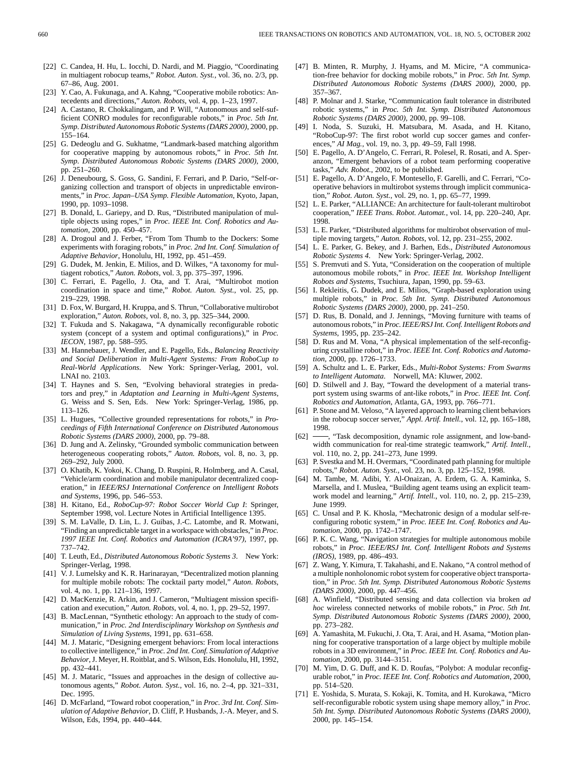- [22] C. Candea, H. Hu, L. Iocchi, D. Nardi, and M. Piaggio, "Coordinating in multiagent robocup teams," *Robot. Auton. Syst.*, vol. 36, no. 2/3, pp. 67–86, Aug. 2001.
- [23] Y. Cao, A. Fukunaga, and A. Kahng, "Cooperative mobile robotics: Antecedents and directions," *Auton. Robots*, vol. 4, pp. 1–23, 1997.
- [24] A. Castano, R. Chokkalingam, and P. Will, "Autonomous and self-sufficient CONRO modules for reconfigurable robots," in *Proc. 5th Int. Symp. Distributed Autonomous Robotic Systems (DARS 2000)*, 2000, pp. 155–164.
- [25] G. Dedeoglu and G. Sukhatme, "Landmark-based matching algorithm for cooperative mapping by autonomous robots," in *Proc. 5th Int. Symp. Distributed Autonomous Robotic Systems (DARS 2000)*, 2000, pp. 251–260.
- [26] J. Deneubourg, S. Goss, G. Sandini, F. Ferrari, and P. Dario, "Self-organizing collection and transport of objects in unpredictable environments," in *Proc. Japan–USA Symp. Flexible Automation*, Kyoto, Japan, 1990, pp. 1093–1098.
- [27] B. Donald, L. Gariepy, and D. Rus, "Distributed manipulation of multiple objects using ropes," in *Proc. IEEE Int. Conf. Robotics and Automation*, 2000, pp. 450–457.
- [28] A. Drogoul and J. Ferber, "From Tom Thumb to the Dockers: Some experiments with foraging robots," in *Proc. 2nd Int. Conf. Simulation of Adaptive Behavior*, Honolulu, HI, 1992, pp. 451–459.
- [29] G. Dudek, M. Jenkin, E. Milios, and D. Wilkes, "A taxonomy for multiagent robotics," *Auton. Robots*, vol. 3, pp. 375–397, 1996.
- [30] C. Ferrari, E. Pagello, J. Ota, and T. Arai, "Multirobot motion coordination in space and time," *Robot. Auton. Syst.*, vol. 25, pp. 219–229, 1998.
- [31] D. Fox, W. Burgard, H. Kruppa, and S. Thrun, "Collaborative multirobot exploration," *Auton. Robots*, vol. 8, no. 3, pp. 325–344, 2000.
- [32] T. Fukuda and S. Nakagawa, "A dynamically reconfigurable robotic system (concept of a system and optimal configurations)," in *Proc. IECON*, 1987, pp. 588–595.
- [33] M. Hannebauer, J. Wendler, and E. Pagello, Eds., *Balancing Reactivity and Social Deliberation in Multi-Agent Systems: From RoboCup to Real-World Applications*. New York: Springer-Verlag, 2001, vol. LNAI no. 2103.
- [34] T. Haynes and S. Sen, "Evolving behavioral strategies in predators and prey," in *Adaptation and Learning in Multi-Agent Systems*, G. Weiss and S. Sen, Eds. New York: Springer-Verlag, 1986, pp. 113–126.
- [35] L. Hugues, "Collective grounded representations for robots," in *Proceedings of Fifth International Conference on Distributed Autonomous Robotic Systems (DARS 2000)*, 2000, pp. 79–88.
- [36] D. Jung and A. Zelinsky, "Grounded symbolic communication between heterogeneous cooperating robots," *Auton. Robots*, vol. 8, no. 3, pp. 269–292, July 2000.
- [37] O. Khatib, K. Yokoi, K. Chang, D. Ruspini, R. Holmberg, and A. Casal, "Vehicle/arm coordination and mobile manipulator decentralized cooperation," in *IEEE/RSJ International Conference on Intelligent Robots and Systems*, 1996, pp. 546–553.
- [38] H. Kitano, Ed., *RoboCup-97: Robot Soccer World Cup I*: Springer, September 1998, vol. Lecture Notes in Artificial Intelligence 1395.
- [39] S. M. LaValle, D. Lin, L. J. Guibas, J.-C. Latombe, and R. Motwani, "Finding an unpredictable target in a workspace with obstacles," in *Proc. 1997 IEEE Int. Conf. Robotics and Automation (ICRA'97)*, 1997, pp. 737–742.
- [40] T. Leuth, Ed., *Distributed Autonomous Robotic Systems 3*. New York: Springer-Verlag, 1998.
- [41] V. J. Lumelsky and K. R. Harinarayan, "Decentralized motion planning for multiple mobile robots: The cocktail party model," *Auton. Robots*, vol. 4, no. 1, pp. 121–136, 1997.
- [42] D. MacKenzie, R. Arkin, and J. Cameron, "Multiagent mission specification and execution," *Auton. Robots*, vol. 4, no. 1, pp. 29–52, 1997.
- [43] B. MacLennan, "Synthetic ethology: An approach to the study of communication," in *Proc. 2nd Interdisciplinary Workshop on Synthesis and Simulation of Living Systems*, 1991, pp. 631–658.
- [44] M. J. Mataric, "Designing emergent behaviors: From local interactions to collective intelligence," in *Proc. 2nd Int. Conf. Simulation of Adaptive Behavior*, J. Meyer, H. Roitblat, and S. Wilson, Eds. Honolulu, HI, 1992, pp. 432–441.
- [45] M. J. Mataric, "Issues and approaches in the design of collective autonomous agents," *Robot. Auton. Syst.*, vol. 16, no. 2–4, pp. 321–331, Dec. 1995.
- [46] D. McFarland, "Toward robot cooperation," in *Proc. 3rd Int. Conf. Simulation of Adaptive Behavior*, D. Cliff, P. Husbands, J.-A. Meyer, and S. Wilson, Eds, 1994, pp. 440–444.
- [47] B. Minten, R. Murphy, J. Hyams, and M. Micire, "A communication-free behavior for docking mobile robots," in *Proc. 5th Int. Symp. Distributed Autonomous Robotic Systems (DARS 2000)*, 2000, pp. 357–367.
- [48] P. Molnar and J. Starke, "Communication fault tolerance in distributed robotic systems," in *Proc. 5th Int. Symp. Distributed Autonomous Robotic Systems (DARS 2000)*, 2000, pp. 99–108.
- [49] I. Noda, S. Suzuki, H. Matsubara, M. Asada, and H. Kitano, "RoboCup-97: The first robot world cup soccer games and conferences," *AI Mag.*, vol. 19, no. 3, pp. 49–59, Fall 1998.
- [50] E. Pagello, A. D'Angelo, C. Ferrari, R. Polesel, R. Rosati, and A. Speranzon, "Emergent behaviors of a robot team performing cooperative tasks," *Adv. Robot.*, 2002, to be published.
- [51] E. Pagello, A. D'Angelo, F. Montesello, F. Garelli, and C. Ferrari, "Cooperative behaviors in multirobot systems through implicit communication," *Robot. Auton. Syst.*, vol. 29, no. 1, pp. 65–77, 1999.
- [52] L. E. Parker, "ALLIANCE: An architecture for fault-tolerant multirobot cooperation," *IEEE Trans. Robot. Automat.*, vol. 14, pp. 220–240, Apr. 1998.
- [53] L. E. Parker, "Distributed algorithms for multirobot observation of multiple moving targets," *Auton. Robots*, vol. 12, pp. 231–255, 2002.
- [54] L. E. Parker, G. Bekey, and J. Barhen, Eds., *Distributed Autonomous Robotic Systems 4*. New York: Springer-Verlag, 2002.
- [55] S. Premvuti and S. Yuta, "Consideration on the cooperation of multiple autonomous mobile robots," in *Proc. IEEE Int. Workshop Intelligent Robots and Systems*, Tsuchiura, Japan, 1990, pp. 59–63.
- [56] I. Rekleitis, G. Dudek, and E. Milios, "Graph-based exploration using multiple robots," in *Proc. 5th Int. Symp. Distributed Autonomous Robotic Systems (DARS 2000)*, 2000, pp. 241–250.
- [57] D. Rus, B. Donald, and J. Jennings, "Moving furniture with teams of autonomous robots," in *Proc. IEEE/RSJ Int. Conf. Intelligent Robots and Systems*, 1995, pp. 235–242.
- [58] D. Rus and M. Vona, "A physical implementation of the self-reconfiguring crystalline robot," in *Proc. IEEE Int. Conf. Robotics and Automation*, 2000, pp. 1726–1733.
- [59] A. Schultz and L. E. Parker, Eds., *Multi-Robot Systems: From Swarms to Intelligent Automata*. Norwell, MA: Kluwer, 2002.
- [60] D. Stilwell and J. Bay, "Toward the development of a material transport system using swarms of ant-like robots," in *Proc. IEEE Int. Conf. Robotics and Automation*, Atlanta, GA, 1993, pp. 766–771.
- [61] P. Stone and M. Veloso, "A layered approach to learning client behaviors in the robocup soccer server," *Appl. Artif. Intell.*, vol. 12, pp. 165–188, 1998.
- [62]  $\rightarrow$ , "Task decomposition, dynamic role assignment, and low-bandwidth communication for real-time strategic teamwork," *Artif. Intell.*, vol. 110, no. 2, pp. 241–273, June 1999.
- [63] P. Svestka and M. H. Overmars, "Coordinated path planning for multiple robots," *Robot. Auton. Syst.*, vol. 23, no. 3, pp. 125–152, 1998.
- [64] M. Tambe, M. Adibi, Y. Al-Onaizan, A. Erdem, G. A. Kaminka, S. Marsella, and I. Muslea, "Building agent teams using an explicit teamwork model and learning," *Artif. Intell.*, vol. 110, no. 2, pp. 215–239, June 1999.
- [65] C. Unsal and P. K. Khosla, "Mechatronic design of a modular self-reconfiguring robotic system," in *Proc. IEEE Int. Conf. Robotics and Automation*, 2000, pp. 1742–1747.
- [66] P. K. C. Wang, "Navigation strategies for multiple autonomous mobile robots," in *Proc. IEEE/RSJ Int. Conf. Intelligent Robots and Systems (IROS)*, 1989, pp. 486–493.
- [67] Z. Wang, Y. Kimura, T. Takahashi, and E. Nakano, "A control method of a multiple nonholonomic robot system for cooperative object transportation," in *Proc. 5th Int. Symp. Distributed Autonomous Robotic Systems (DARS 2000)*, 2000, pp. 447–456.
- [68] A. Winfield, "Distributed sensing and data collection via broken *ad hoc* wireless connected networks of mobile robots," in *Proc. 5th Int. Symp. Distributed Autonomous Robotic Systems (DARS 2000)*, 2000, pp. 273–282.
- [69] A. Yamashita, M. Fukuchi, J. Ota, T. Arai, and H. Asama, "Motion planning for cooperative transportation of a large object by multiple mobile robots in a 3D environment," in *Proc. IEEE Int. Conf. Robotics and Automation*, 2000, pp. 3144–3151.
- [70] M. Yim, D. G. Duff, and K. D. Roufas, "Polybot: A modular reconfigurable robot," in *Proc. IEEE Int. Conf. Robotics and Automation*, 2000, pp. 514–520.
- [71] E. Yoshida, S. Murata, S. Kokaji, K. Tomita, and H. Kurokawa, "Micro self-reconfigurable robotic system using shape memory alloy," in *Proc. 5th Int. Symp. Distributed Autonomous Robotic Systems (DARS 2000)*, 2000, pp. 145–154.